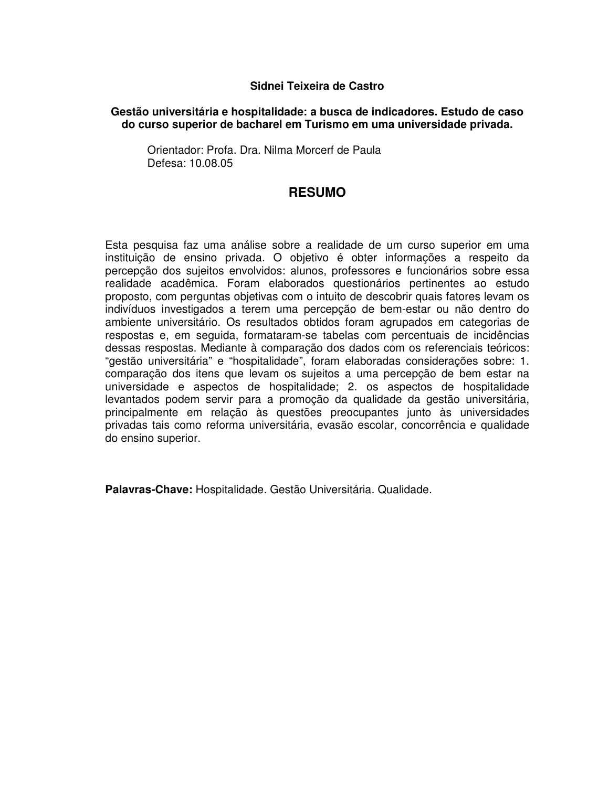## **Sidnei Teixeira de Castro**

## **Gestão universitária e hospitalidade: a busca de indicadores. Estudo de caso do curso superior de bacharel em Turismo em uma universidade privada.**

Orientador: Profa. Dra. Nilma Morcerf de Paula Defesa: 10.08.05

## **RESUMO**

Esta pesquisa faz uma análise sobre a realidade de um curso superior em uma instituição de ensino privada. O objetivo é obter informações a respeito da percepção dos sujeitos envolvidos: alunos, professores e funcionários sobre essa realidade acadêmica. Foram elaborados questionários pertinentes ao estudo proposto, com perguntas objetivas com o intuito de descobrir quais fatores levam os indivíduos investigados a terem uma percepção de bem-estar ou não dentro do ambiente universitário. Os resultados obtidos foram agrupados em categorias de respostas e, em seguida, formataram-se tabelas com percentuais de incidências dessas respostas. Mediante à comparação dos dados com os referenciais teóricos: "gestão universitária" e "hospitalidade", foram elaboradas considerações sobre: 1. comparação dos itens que levam os sujeitos a uma percepção de bem estar na universidade e aspectos de hospitalidade; 2. os aspectos de hospitalidade levantados podem servir para a promoção da qualidade da gestão universitária, principalmente em relação às questões preocupantes junto às universidades privadas tais como reforma universitária, evasão escolar, concorrência e qualidade do ensino superior.

**Palavras-Chave:** Hospitalidade. Gestão Universitária. Qualidade.